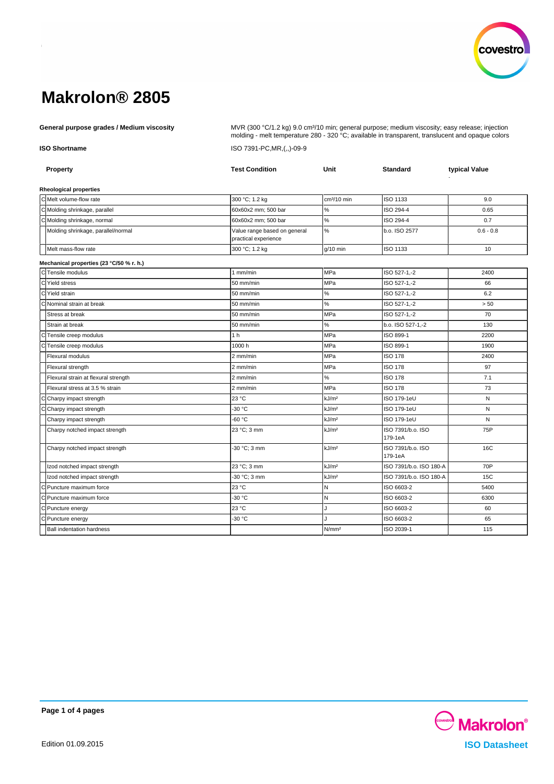

General purpose grades / Medium viscosity **Mullam Company ACC** MUR (300 °C/1.2 kg) 9.0 cm<sup>3</sup>/10 min; general purpose; medium viscosity; easy release; injection molding - melt temperature 280 - 320 °C; available in transparent, translucent and opaque colors **ISO Shortname** ISO 7391-PC,MR,(,,)-09-9

| <b>Property</b>                          | <b>Test Condition</b>                                | Unit              | <b>Standard</b>              | typical Value |  |
|------------------------------------------|------------------------------------------------------|-------------------|------------------------------|---------------|--|
| <b>Rheological properties</b>            |                                                      |                   |                              |               |  |
| C Melt volume-flow rate                  | 300 °C; 1.2 kg                                       | $cm3/10$ min      | <b>ISO 1133</b>              | 9.0           |  |
| CMolding shrinkage, parallel             | 60x60x2 mm; 500 bar                                  | $\%$              | ISO 294-4                    | 0.65          |  |
| C Molding shrinkage, normal              | 60x60x2 mm: 500 bar                                  | $\%$              | ISO 294-4                    | 0.7           |  |
| Molding shrinkage, parallel/normal       | Value range based on general<br>practical experience | %                 | b.o. ISO 2577                | $0.6 - 0.8$   |  |
| Melt mass-flow rate                      | 300 °C; 1.2 kg                                       | $g/10$ min        | <b>ISO 1133</b>              | 10            |  |
| Mechanical properties (23 °C/50 % r. h.) |                                                      |                   |                              |               |  |
| C Tensile modulus                        | $1$ mm/min                                           | <b>MPa</b>        | ISO 527-1,-2                 | 2400          |  |
| C Yield stress                           | 50 mm/min                                            | MPa               | ISO 527-1,-2                 | 66            |  |
| C Yield strain                           | 50 mm/min                                            | $\%$              | ISO 527-1,-2                 | 6.2           |  |
| C Nominal strain at break                | 50 mm/min                                            | $\%$              | ISO 527-1,-2                 | > 50          |  |
| Stress at break                          | 50 mm/min                                            | <b>MPa</b>        | ISO 527-1,-2                 | 70            |  |
| Strain at break                          | 50 mm/min                                            | $\%$              | b.o. ISO 527-1,-2            | 130           |  |
| C Tensile creep modulus                  | 1 <sub>h</sub>                                       | <b>MPa</b>        | ISO 899-1                    | 2200          |  |
| Tensile creep modulus<br>C               | 1000h                                                | MPa               | ISO 899-1                    | 1900          |  |
| Flexural modulus                         | 2 mm/min                                             | MPa               | <b>ISO 178</b>               | 2400          |  |
| Flexural strength                        | 2 mm/min                                             | MPa               | <b>ISO 178</b>               | 97            |  |
| Flexural strain at flexural strength     | 2 mm/min                                             | %                 | <b>ISO 178</b>               | 7.1           |  |
| Flexural stress at 3.5 % strain          | 2 mm/min                                             | <b>MPa</b>        | <b>ISO 178</b>               | 73            |  |
| Ć<br>Charpy impact strength              | 23 °C                                                | kJ/m <sup>2</sup> | ISO 179-1eU                  | N             |  |
| Charpy impact strength<br>С              | -30 °C                                               | kJ/m <sup>2</sup> | ISO 179-1eU                  | N             |  |
| Charpy impact strength                   | $-60 °C$                                             | kJ/m <sup>2</sup> | ISO 179-1eU                  | N             |  |
| Charpy notched impact strength           | 23 °C; 3 mm                                          | kJ/m <sup>2</sup> | ISO 7391/b.o. ISO<br>179-1eA | 75P           |  |
| Charpy notched impact strength           | 30 °C; 3 mm                                          | kJ/m <sup>2</sup> | ISO 7391/b.o. ISO<br>179-1eA | 16C           |  |
| Izod notched impact strength             | 23 °C; 3 mm                                          | kJ/m <sup>2</sup> | ISO 7391/b.o. ISO 180-A      | 70P           |  |
| Izod notched impact strength             | -30 °C; 3 mm                                         | kJ/m <sup>2</sup> | ISO 7391/b.o. ISO 180-A      | 15C           |  |
| C Puncture maximum force                 | 23 °C                                                | N                 | ISO 6603-2                   | 5400          |  |
| C Puncture maximum force                 | -30 °C                                               | N                 | ISO 6603-2                   | 6300          |  |
| C Puncture energy                        | 23 °C                                                | J                 | ISO 6603-2                   | 60            |  |
| C Puncture energy                        | $-30 °C$                                             | J.                | ISO 6603-2                   | 65            |  |
| <b>Ball indentation hardness</b>         |                                                      | N/mm <sup>2</sup> | ISO 2039-1                   | 115           |  |



**Page 1 of 4 pages**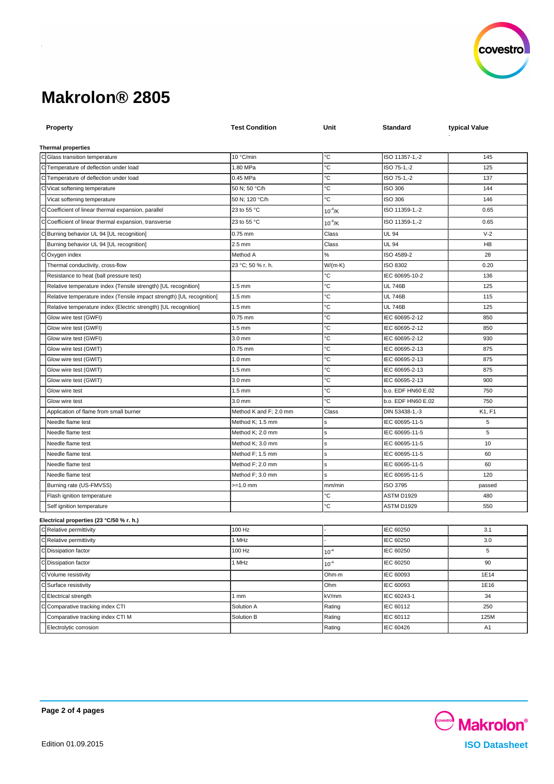

| <b>Property</b>                                                       | <b>Test Condition</b>                      | Unit            | Standard                             | typical Value  |
|-----------------------------------------------------------------------|--------------------------------------------|-----------------|--------------------------------------|----------------|
|                                                                       |                                            |                 |                                      |                |
| <b>Thermal properties</b>                                             |                                            |                 |                                      |                |
| C Glass transition temperature                                        | 10 °C/min                                  | °C              | ISO 11357-1,-2                       | 145            |
| C Temperature of deflection under load                                | 1.80 MPa                                   | °C              | ISO 75-1,-2                          | 125            |
| C Temperature of deflection under load                                | 0.45 MPa                                   | °C              | ISO 75-1,-2                          | 137            |
| Vicat softening temperature                                           | 50 N; 50 °C/h                              | °C              | ISO 306                              | 144            |
| Vicat softening temperature                                           | 50 N; 120 °C/h                             | °C              | <b>ISO 306</b>                       | 146            |
| Coefficient of linear thermal expansion, parallel                     | 23 to 55 °C                                | $10^{-4}$ /K    | ISO 11359-1,-2                       | 0.65           |
| Coefficient of linear thermal expansion, transverse                   | 23 to 55 °C                                | $10^{-4}$ /K    | ISO 11359-1,-2                       | 0.65           |
| Burning behavior UL 94 [UL recognition]                               | $0.75$ mm                                  | Class           | UL 94                                | $V-2$          |
| Burning behavior UL 94 [UL recognition]                               | $2.5$ mm                                   | Class           | <b>UL 94</b>                         | HB             |
| Oxygen index                                                          | Method A                                   | %               | ISO 4589-2                           | 28             |
| Thermal conductivity, cross-flow                                      | 23 °C; 50 % r. h.                          | $W/(m \cdot K)$ | ISO 8302                             | 0.20           |
| Resistance to heat (ball pressure test)                               |                                            | °С              | IEC 60695-10-2                       | 136            |
| Relative temperature index (Tensile strength) [UL recognition]        | $1.5 \text{ mm}$                           | °С              | <b>UL 746B</b>                       | 125            |
| Relative temperature index (Tensile impact strength) [UL recognition] | $1.5 \text{ mm}$                           | °C              | <b>UL 746B</b>                       | 115            |
| Relative temperature index (Electric strength) [UL recognition]       | $1.5 \text{ mm}$                           | °C              | <b>UL 746B</b>                       | 125            |
| Glow wire test (GWFI)                                                 | 0.75 mm                                    | °С              | IEC 60695-2-12                       | 850            |
| Glow wire test (GWFI)                                                 | $1.5 \text{ mm}$                           | °C              | IEC 60695-2-12                       | 850            |
| Glow wire test (GWFI)                                                 | 3.0 mm                                     | ℃               | IEC 60695-2-12                       | 930            |
| Glow wire test (GWIT)                                                 | 0.75 mm                                    | °C              | IEC 60695-2-13                       | 875            |
| Glow wire test (GWIT)                                                 | $1.0 \text{ mm}$                           | °C              | IEC 60695-2-13                       | 875            |
| Glow wire test (GWIT)                                                 | $1.5 \text{ mm}$                           | °C              | IEC 60695-2-13                       | 875            |
| Glow wire test (GWIT)                                                 | 3.0 mm                                     | °C<br>°С        | IEC 60695-2-13                       | 900            |
| Glow wire test                                                        | $1.5 \text{ mm}$                           | ъc              | b.o. EDF HN60 E.02                   | 750            |
| Glow wire test<br>Application of flame from small burner              | $3.0 \text{ mm}$<br>Method K and F; 2.0 mm | Class           | b.o. EDF HN60 E.02<br>DIN 53438-1,-3 | 750<br>K1, F1  |
| Needle flame test                                                     | Method K; 1.5 mm                           |                 | IEC 60695-11-5                       | 5              |
| Needle flame test                                                     | Method K; 2.0 mm                           | s               | IEC 60695-11-5                       | 5              |
| Needle flame test                                                     | Method K; 3.0 mm                           | s               | IEC 60695-11-5                       | 10             |
| Needle flame test                                                     | Method F; 1.5 mm                           | s               | IEC 60695-11-5                       | 60             |
| Needle flame test                                                     | Method F; 2.0 mm                           | s               | IEC 60695-11-5                       | 60             |
| Needle flame test                                                     | Method F; 3.0 mm                           | ś               | IEC 60695-11-5                       | 120            |
| Burning rate (US-FMVSS)                                               | >=1.0 mm                                   | mm/min          | ISO 3795                             | passed         |
| Flash ignition temperature                                            |                                            | °C              | ASTM D1929                           | 480            |
| Self ignition temperature                                             |                                            | °C              | ASTM D1929                           | 550            |
|                                                                       |                                            |                 |                                      |                |
| Electrical properties (23 °C/50 % r. h.)<br>C Relative permittivity   | 100 Hz                                     |                 | IEC 60250                            | 3.1            |
| C Relative permittivity                                               | 1 MHz                                      |                 | IEC 60250                            | 3.0            |
| C Dissipation factor                                                  | 100 Hz                                     | $10^{-4}$       | IEC 60250                            | 5              |
|                                                                       |                                            |                 |                                      |                |
| C Dissipation factor                                                  | 1 MHz                                      | $10^{-4}$       | IEC 60250                            | 90             |
| C Volume resistivity                                                  |                                            | Ohm-m           | IEC 60093                            | 1E14           |
| C Surface resistivity                                                 |                                            | Ohm             | IEC 60093                            | 1E16           |
| C Electrical strength                                                 | 1mm                                        | kV/mm           | IEC 60243-1                          | 34             |
| Comparative tracking index CTI                                        | Solution A                                 | Rating          | IEC 60112                            | 250            |
| Comparative tracking index CTI M                                      | Solution B                                 | Rating          | IEC 60112                            | 125M           |
| Electrolytic corrosion                                                |                                            | Rating          | IEC 60426                            | A <sub>1</sub> |



**Page 2 of 4 pages**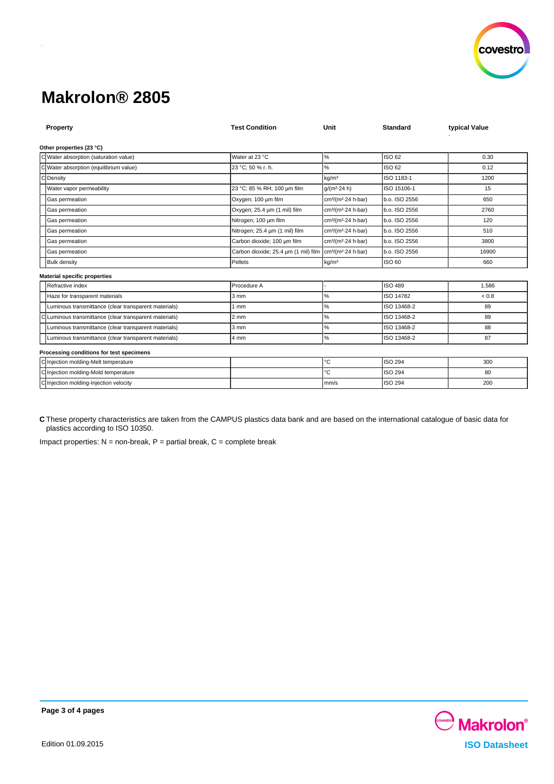

| Property                                             | <b>Test Condition</b>                                                             | Unit                                        | <b>Standard</b>  | typical Value |  |  |  |  |
|------------------------------------------------------|-----------------------------------------------------------------------------------|---------------------------------------------|------------------|---------------|--|--|--|--|
| Other properties (23 °C)                             |                                                                                   |                                             |                  |               |  |  |  |  |
| C Water absorption (saturation value)                | Water at 23 °C                                                                    | %                                           | ISO 62           | 0.30          |  |  |  |  |
| $\mathsf{C}$<br>Water absorption (equilibrium value) | 23 °C; 50 % r. h.                                                                 | %                                           | ISO 62           | 0.12          |  |  |  |  |
| $\Omega$<br>Density                                  |                                                                                   | kg/m <sup>3</sup>                           | ISO 1183-1       | 1200          |  |  |  |  |
| Water vapor permeability                             | 23 °C; 85 % RH; 100 µm film                                                       | $q/(m^2.24 h)$                              | ISO 15106-1      | 15            |  |  |  |  |
| Gas permeation                                       | Oxygen; 100 µm film                                                               | cm <sup>3</sup> /(m <sup>2</sup> 24 h bar)  | b.o. ISO 2556    | 650           |  |  |  |  |
| Gas permeation                                       | Oxygen; 25.4 um (1 mil) film                                                      | cm <sup>3</sup> /(m <sup>2</sup> -24 h-bar) | b.o. ISO 2556    | 2760          |  |  |  |  |
| Gas permeation                                       | Nitrogen; 100 um film                                                             | cm <sup>3</sup> /(m <sup>2</sup> 24 h bar)  | b.o. ISO 2556    | 120           |  |  |  |  |
| Gas permeation                                       | Nitrogen; 25.4 um (1 mil) film                                                    | cm <sup>3</sup> /(m <sup>2</sup> 24 h bar)  | b.o. ISO 2556    | 510           |  |  |  |  |
| Gas permeation                                       | Carbon dioxide; 100 um film                                                       | cm <sup>3</sup> /(m <sup>2</sup> -24 h-bar) | b.o. ISO 2556    | 3800          |  |  |  |  |
| Gas permeation                                       | Carbon dioxide; 25.4 um (1 mil) film   cm <sup>3</sup> /(m <sup>2</sup> 24 h bar) |                                             | b.o. ISO 2556    | 16900         |  |  |  |  |
| <b>Bulk density</b>                                  | Pellets                                                                           | kg/m <sup>3</sup>                           | <b>ISO 60</b>    | 660           |  |  |  |  |
| <b>Material specific properties</b>                  |                                                                                   |                                             |                  |               |  |  |  |  |
| Refractive index                                     | Procedure A                                                                       |                                             | <b>ISO 489</b>   | 1.586         |  |  |  |  |
| Haze for transparent materials                       | 3 mm                                                                              | ℅                                           | <b>ISO 14782</b> | ${}_{< 0.8}$  |  |  |  |  |
| Luminous transmittance (clear transparent materials) | 1 mm                                                                              | %                                           | ISO 13468-2      | 89            |  |  |  |  |
| Luminous transmittance (clear transparent materials) | $2 \, \text{mm}$                                                                  | $\%$                                        | ISO 13468-2      | 89            |  |  |  |  |
| Luminous transmittance (clear transparent materials) | 3 mm                                                                              | %                                           | ISO 13468-2      | 88            |  |  |  |  |
| Luminous transmittance (clear transparent materials) | 4 mm                                                                              | %                                           | ISO 13468-2      | 87            |  |  |  |  |
| Processing conditions for test specimens             |                                                                                   |                                             |                  |               |  |  |  |  |
| C Injection molding-Melt temperature                 |                                                                                   | °C                                          | <b>ISO 294</b>   | 300           |  |  |  |  |
| C Injection molding-Mold temperature                 |                                                                                   | °C                                          | <b>ISO 294</b>   | 80            |  |  |  |  |
| C Injection molding-Injection velocity               |                                                                                   | mm/s                                        | <b>ISO 294</b>   | 200           |  |  |  |  |

**C** These property characteristics are taken from the CAMPUS plastics data bank and are based on the international catalogue of basic data for plastics according to ISO 10350.

Impact properties:  $N = non-breaking$ ,  $P =$  partial break,  $C =$  complete break